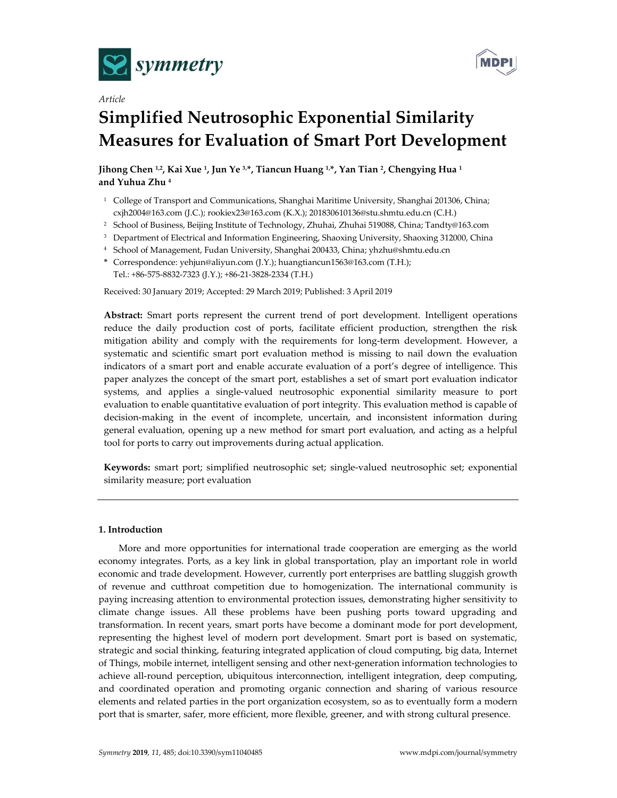

*Article*



# **Simplified Neutrosophic Exponential Similarity Measures for Evaluation of Smart Port Development**

**Jihong Chen 1,2, Kai Xue 1, Jun Ye 3,\*, Tiancun Huang 1,\*, Yan Tian 2, Chengying Hua 1 and Yuhua Zhu 4**

- <sup>1</sup> College of Transport and Communications, Shanghai Maritime University, Shanghai 201306, China; cxjh2004@163.com (J.C.); rookiex23@163.com (K.X.); 201830610136@stu.shmtu.edu.cn (C.H.)
- <sup>2</sup> School of Business, Beijing Institute of Technology, Zhuhai, Zhuhai 519088, China; Tandty@163.com
- <sup>3</sup> Department of Electrical and Information Engineering, Shaoxing University, Shaoxing 312000, China
- <sup>4</sup> School of Management, Fudan University, Shanghai 200433, China; yhzhu@shmtu.edu.cn
- **\*** Correspondence: yehjun@aliyun.com (J.Y.); huangtiancun1563@163.com (T.H.); Tel.: +86-575-8832-7323 (J.Y.); +86-21-3828-2334 (T.H.)

Received: 30 January 2019; Accepted: 29 March 2019; Published: 3 April 2019

**Abstract:** Smart ports represent the current trend of port development. Intelligent operations reduce the daily production cost of ports, facilitate efficient production, strengthen the risk mitigation ability and comply with the requirements for long-term development. However, a systematic and scientific smart port evaluation method is missing to nail down the evaluation indicators of a smart port and enable accurate evaluation of a port's degree of intelligence. This paper analyzes the concept of the smart port, establishes a set of smart port evaluation indicator systems, and applies a single-valued neutrosophic exponential similarity measure to port evaluation to enable quantitative evaluation of port integrity. This evaluation method is capable of decision-making in the event of incomplete, uncertain, and inconsistent information during general evaluation, opening up a new method for smart port evaluation, and acting as a helpful tool for ports to carry out improvements during actual application.

**Keywords:** smart port; simplified neutrosophic set; single-valued neutrosophic set; exponential similarity measure; port evaluation

# **1. Introduction**

More and more opportunities for international trade cooperation are emerging as the world economy integrates. Ports, as a key link in global transportation, play an important role in world economic and trade development. However, currently port enterprises are battling sluggish growth of revenue and cutthroat competition due to homogenization. The international community is paying increasing attention to environmental protection issues, demonstrating higher sensitivity to climate change issues. All these problems have been pushing ports toward upgrading and transformation. In recent years, smart ports have become a dominant mode for port development, representing the highest level of modern port development. Smart port is based on systematic, strategic and social thinking, featuring integrated application of cloud computing, big data, Internet of Things, mobile internet, intelligent sensing and other next-generation information technologies to achieve all-round perception, ubiquitous interconnection, intelligent integration, deep computing, and coordinated operation and promoting organic connection and sharing of various resource elements and related parties in the port organization ecosystem, so as to eventually form a modern port that is smarter, safer, more efficient, more flexible, greener, and with strong cultural presence.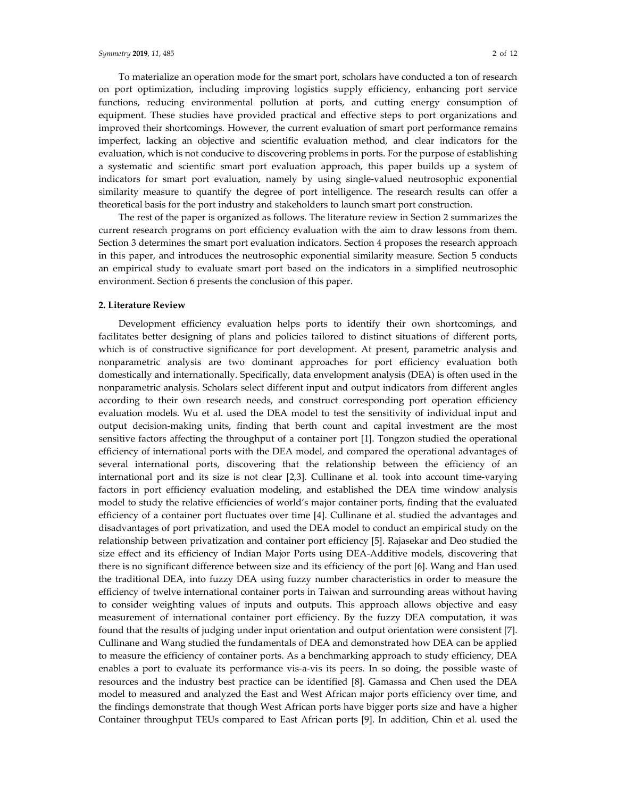To materialize an operation mode for the smart port, scholars have conducted a ton of research on port optimization, including improving logistics supply efficiency, enhancing port service functions, reducing environmental pollution at ports, and cutting energy consumption of equipment. These studies have provided practical and effective steps to port organizations and improved their shortcomings. However, the current evaluation of smart port performance remains imperfect, lacking an objective and scientific evaluation method, and clear indicators for the evaluation, which is not conducive to discovering problems in ports. For the purpose of establishing a systematic and scientific smart port evaluation approach, this paper builds up a system of indicators for smart port evaluation, namely by using single-valued neutrosophic exponential similarity measure to quantify the degree of port intelligence. The research results can offer a theoretical basis for the port industry and stakeholders to launch smart port construction.

The rest of the paper is organized as follows. The literature review in Section 2 summarizes the current research programs on port efficiency evaluation with the aim to draw lessons from them. Section 3 determines the smart port evaluation indicators. Section 4 proposes the research approach in this paper, and introduces the neutrosophic exponential similarity measure. Section 5 conducts an empirical study to evaluate smart port based on the indicators in a simplified neutrosophic environment. Section 6 presents the conclusion of this paper.

#### **2. Literature Review**

Development efficiency evaluation helps ports to identify their own shortcomings, and facilitates better designing of plans and policies tailored to distinct situations of different ports, which is of constructive significance for port development. At present, parametric analysis and nonparametric analysis are two dominant approaches for port efficiency evaluation both domestically and internationally. Specifically, data envelopment analysis (DEA) is often used in the nonparametric analysis. Scholars select different input and output indicators from different angles according to their own research needs, and construct corresponding port operation efficiency evaluation models. Wu et al. used the DEA model to test the sensitivity of individual input and output decision-making units, finding that berth count and capital investment are the most sensitive factors affecting the throughput of a container port [1]. Tongzon studied the operational efficiency of international ports with the DEA model, and compared the operational advantages of several international ports, discovering that the relationship between the efficiency of an international port and its size is not clear [2,3]. Cullinane et al. took into account time-varying factors in port efficiency evaluation modeling, and established the DEA time window analysis model to study the relative efficiencies of world's major container ports, finding that the evaluated efficiency of a container port fluctuates over time [4]. Cullinane et al. studied the advantages and disadvantages of port privatization, and used the DEA model to conduct an empirical study on the relationship between privatization and container port efficiency [5]. Rajasekar and Deo studied the size effect and its efficiency of Indian Major Ports using DEA-Additive models, discovering that there is no significant difference between size and its efficiency of the port [6]. Wang and Han used the traditional DEA, into fuzzy DEA using fuzzy number characteristics in order to measure the efficiency of twelve international container ports in Taiwan and surrounding areas without having to consider weighting values of inputs and outputs. This approach allows objective and easy measurement of international container port efficiency. By the fuzzy DEA computation, it was found that the results of judging under input orientation and output orientation were consistent [7]. Cullinane and Wang studied the fundamentals of DEA and demonstrated how DEA can be applied to measure the efficiency of container ports. As a benchmarking approach to study efficiency, DEA enables a port to evaluate its performance vis-a-vis its peers. In so doing, the possible waste of resources and the industry best practice can be identified [8]. Gamassa and Chen used the DEA model to measured and analyzed the East and West African major ports efficiency over time, and the findings demonstrate that though West African ports have bigger ports size and have a higher Container throughput TEUs compared to East African ports [9]. In addition, Chin et al. used the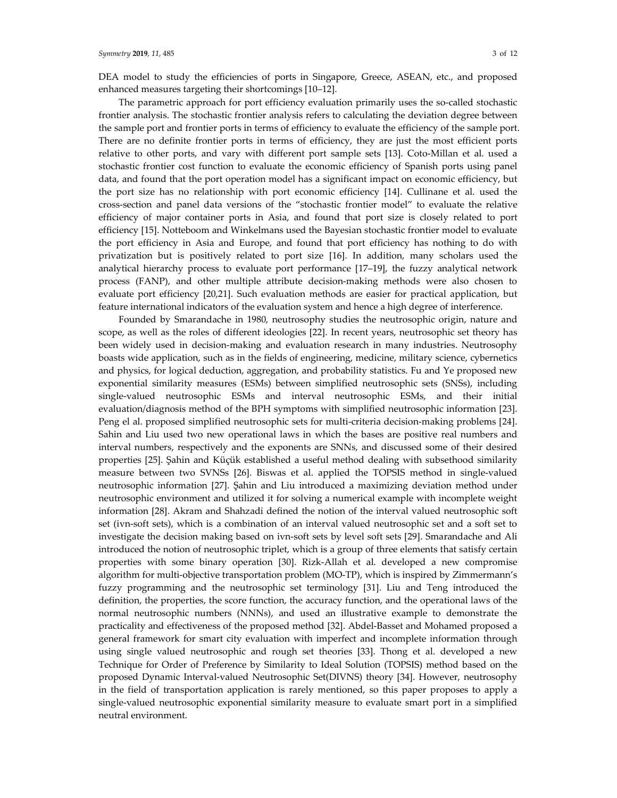DEA model to study the efficiencies of ports in Singapore, Greece, ASEAN, etc., and proposed enhanced measures targeting their shortcomings [10–12].

The parametric approach for port efficiency evaluation primarily uses the so-called stochastic frontier analysis. The stochastic frontier analysis refers to calculating the deviation degree between the sample port and frontier ports in terms of efficiency to evaluate the efficiency of the sample port. There are no definite frontier ports in terms of efficiency, they are just the most efficient ports relative to other ports, and vary with different port sample sets [13]. Coto-Millan et al. used a stochastic frontier cost function to evaluate the economic efficiency of Spanish ports using panel data, and found that the port operation model has a significant impact on economic efficiency, but the port size has no relationship with port economic efficiency [14]. Cullinane et al. used the cross-section and panel data versions of the "stochastic frontier model" to evaluate the relative efficiency of major container ports in Asia, and found that port size is closely related to port efficiency [15]. Notteboom and Winkelmans used the Bayesian stochastic frontier model to evaluate the port efficiency in Asia and Europe, and found that port efficiency has nothing to do with privatization but is positively related to port size [16]. In addition, many scholars used the analytical hierarchy process to evaluate port performance [17–19], the fuzzy analytical network process (FANP), and other multiple attribute decision-making methods were also chosen to evaluate port efficiency [20,21]. Such evaluation methods are easier for practical application, but feature international indicators of the evaluation system and hence a high degree of interference.

Founded by Smarandache in 1980, neutrosophy studies the neutrosophic origin, nature and scope, as well as the roles of different ideologies [22]. In recent years, neutrosophic set theory has been widely used in decision-making and evaluation research in many industries. Neutrosophy boasts wide application, such as in the fields of engineering, medicine, military science, cybernetics and physics, for logical deduction, aggregation, and probability statistics. Fu and Ye proposed new exponential similarity measures (ESMs) between simplified neutrosophic sets (SNSs), including single-valued neutrosophic ESMs and interval neutrosophic ESMs, and their initial evaluation/diagnosis method of the BPH symptoms with simplified neutrosophic information [23]. Peng el al. proposed simplified neutrosophic sets for multi-criteria decision-making problems [24]. Sahin and Liu used two new operational laws in which the bases are positive real numbers and interval numbers, respectively and the exponents are SNNs, and discussed some of their desired properties [25]. Şahin and Küçük established a useful method dealing with subsethood similarity measure between two SVNSs [26]. Biswas et al. applied the TOPSIS method in single-valued neutrosophic information [27]. Şahin and Liu introduced a maximizing deviation method under neutrosophic environment and utilized it for solving a numerical example with incomplete weight information [28]. Akram and Shahzadi defined the notion of the interval valued neutrosophic soft set (ivn-soft sets), which is a combination of an interval valued neutrosophic set and a soft set to investigate the decision making based on ivn-soft sets by level soft sets [29]. Smarandache and Ali introduced the notion of neutrosophic triplet, which is a group of three elements that satisfy certain properties with some binary operation [30]. Rizk-Allah et al. developed a new compromise algorithm for multi-objective transportation problem (MO-TP), which is inspired by Zimmermann's fuzzy programming and the neutrosophic set terminology [31]. Liu and Teng introduced the definition, the properties, the score function, the accuracy function, and the operational laws of the normal neutrosophic numbers (NNNs), and used an illustrative example to demonstrate the practicality and effectiveness of the proposed method [32]. Abdel-Basset and Mohamed proposed a general framework for smart city evaluation with imperfect and incomplete information through using single valued neutrosophic and rough set theories [33]. Thong et al. developed a new Technique for Order of Preference by Similarity to Ideal Solution (TOPSIS) method based on the proposed Dynamic Interval-valued Neutrosophic Set(DIVNS) theory [34]. However, neutrosophy in the field of transportation application is rarely mentioned, so this paper proposes to apply a single-valued neutrosophic exponential similarity measure to evaluate smart port in a simplified neutral environment.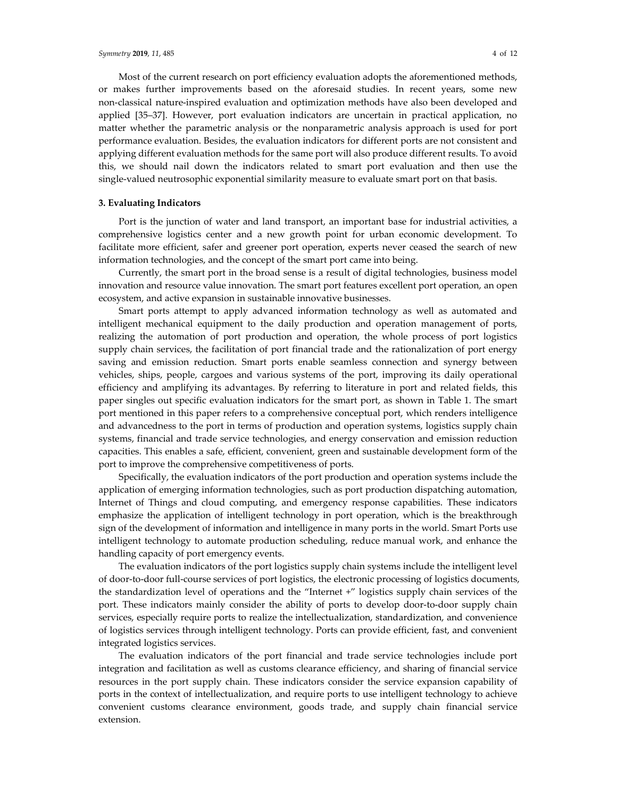Most of the current research on port efficiency evaluation adopts the aforementioned methods, or makes further improvements based on the aforesaid studies. In recent years, some new non-classical nature-inspired evaluation and optimization methods have also been developed and applied [35–37]. However, port evaluation indicators are uncertain in practical application, no matter whether the parametric analysis or the nonparametric analysis approach is used for port performance evaluation. Besides, the evaluation indicators for different ports are not consistent and applying different evaluation methods for the same port will also produce different results. To avoid this, we should nail down the indicators related to smart port evaluation and then use the single-valued neutrosophic exponential similarity measure to evaluate smart port on that basis.

## **3. Evaluating Indicators**

Port is the junction of water and land transport, an important base for industrial activities, a comprehensive logistics center and a new growth point for urban economic development. To facilitate more efficient, safer and greener port operation, experts never ceased the search of new information technologies, and the concept of the smart port came into being.

Currently, the smart port in the broad sense is a result of digital technologies, business model innovation and resource value innovation. The smart port features excellent port operation, an open ecosystem, and active expansion in sustainable innovative businesses.

Smart ports attempt to apply advanced information technology as well as automated and intelligent mechanical equipment to the daily production and operation management of ports, realizing the automation of port production and operation, the whole process of port logistics supply chain services, the facilitation of port financial trade and the rationalization of port energy saving and emission reduction. Smart ports enable seamless connection and synergy between vehicles, ships, people, cargoes and various systems of the port, improving its daily operational efficiency and amplifying its advantages. By referring to literature in port and related fields, this paper singles out specific evaluation indicators for the smart port, as shown in Table 1. The smart port mentioned in this paper refers to a comprehensive conceptual port, which renders intelligence and advancedness to the port in terms of production and operation systems, logistics supply chain systems, financial and trade service technologies, and energy conservation and emission reduction capacities. This enables a safe, efficient, convenient, green and sustainable development form of the port to improve the comprehensive competitiveness of ports.

Specifically, the evaluation indicators of the port production and operation systems include the application of emerging information technologies, such as port production dispatching automation, Internet of Things and cloud computing, and emergency response capabilities. These indicators emphasize the application of intelligent technology in port operation, which is the breakthrough sign of the development of information and intelligence in many ports in the world. Smart Ports use intelligent technology to automate production scheduling, reduce manual work, and enhance the handling capacity of port emergency events.

The evaluation indicators of the port logistics supply chain systems include the intelligent level of door-to-door full-course services of port logistics, the electronic processing of logistics documents, the standardization level of operations and the "Internet +" logistics supply chain services of the port. These indicators mainly consider the ability of ports to develop door-to-door supply chain services, especially require ports to realize the intellectualization, standardization, and convenience of logistics services through intelligent technology. Ports can provide efficient, fast, and convenient integrated logistics services.

The evaluation indicators of the port financial and trade service technologies include port integration and facilitation as well as customs clearance efficiency, and sharing of financial service resources in the port supply chain. These indicators consider the service expansion capability of ports in the context of intellectualization, and require ports to use intelligent technology to achieve convenient customs clearance environment, goods trade, and supply chain financial service extension.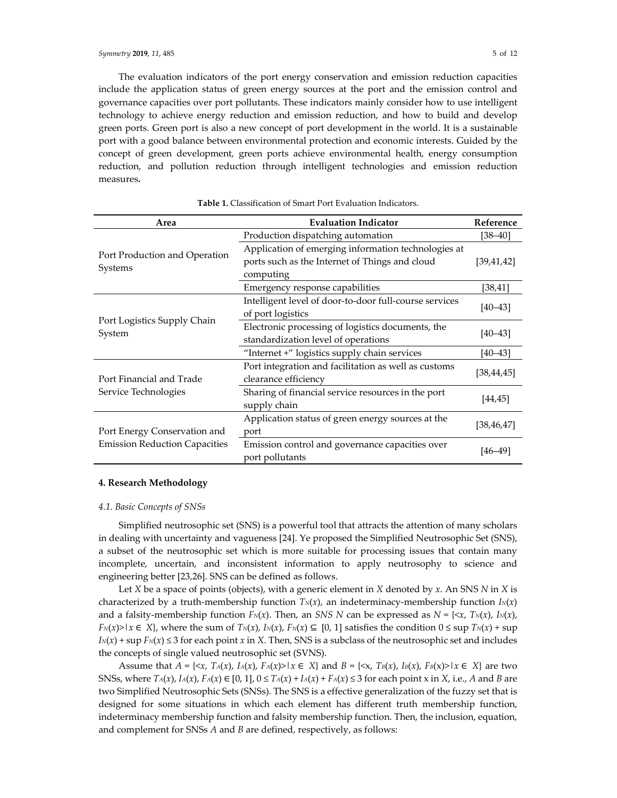The evaluation indicators of the port energy conservation and emission reduction capacities include the application status of green energy sources at the port and the emission control and governance capacities over port pollutants. These indicators mainly consider how to use intelligent technology to achieve energy reduction and emission reduction, and how to build and develop green ports. Green port is also a new concept of port development in the world. It is a sustainable port with a good balance between environmental protection and economic interests. Guided by the concept of green development, green ports achieve environmental health, energy consumption reduction, and pollution reduction through intelligent technologies and emission reduction measures**.**

| Area                                                                 | <b>Evaluation Indicator</b>                            | Reference    |  |
|----------------------------------------------------------------------|--------------------------------------------------------|--------------|--|
|                                                                      | Production dispatching automation                      | $[38 - 40]$  |  |
| Port Production and Operation                                        | Application of emerging information technologies at    |              |  |
| Systems                                                              | ports such as the Internet of Things and cloud         | [39, 41, 42] |  |
|                                                                      | computing                                              |              |  |
|                                                                      | Emergency response capabilities                        | [38, 41]     |  |
|                                                                      | Intelligent level of door-to-door full-course services | $[40 - 43]$  |  |
|                                                                      | of port logistics                                      |              |  |
| Port Logistics Supply Chain<br>System                                | Electronic processing of logistics documents, the      | $[40 - 43]$  |  |
|                                                                      | standardization level of operations                    |              |  |
|                                                                      | "Internet +" logistics supply chain services           | $[40 - 43]$  |  |
|                                                                      | Port integration and facilitation as well as customs   | [38, 44, 45] |  |
| Port Financial and Trade                                             | clearance efficiency                                   |              |  |
| Service Technologies                                                 | Sharing of financial service resources in the port     | [44, 45]     |  |
|                                                                      | supply chain                                           |              |  |
| Port Energy Conservation and<br><b>Emission Reduction Capacities</b> | Application status of green energy sources at the      | [38, 46, 47] |  |
|                                                                      | port                                                   |              |  |
|                                                                      | Emission control and governance capacities over        | [46–49]      |  |
|                                                                      | port pollutants                                        |              |  |

## **Table 1.** Classification of Smart Port Evaluation Indicators.

## **4. Research Methodology**

#### *4.1. Basic Concepts of SNSs*

Simplified neutrosophic set (SNS) is a powerful tool that attracts the attention of many scholars in dealing with uncertainty and vagueness [24]. Ye proposed the Simplified Neutrosophic Set (SNS), a subset of the neutrosophic set which is more suitable for processing issues that contain many incomplete, uncertain, and inconsistent information to apply neutrosophy to science and engineering better [23,26]. SNS can be defined as follows.

Let *X* be a space of points (objects), with a generic element in *X* denoted by *x*. An SNS *N* in *X* is characterized by a truth-membership function  $T_N(x)$ , an indeterminacy-membership function  $I_N(x)$ and a falsity-membership function  $F_N(x)$ . Then, an *SNS N* can be expressed as  $N = \{ \langle x, T_N(x), I_N(x), \rangle \}$  $F_N(x) > |x \in X|$ , where the sum of  $T_N(x)$ ,  $I_N(x)$ ,  $F_N(x) \subseteq [0, 1]$  satisfies the condition  $0 \leq \sup T_N(x) + \sup$  $I_N(x)$  + sup  $F_N(x) \leq 3$  for each point *x* in *X*. Then, SNS is a subclass of the neutrosophic set and includes the concepts of single valued neutrosophic set (SVNS).

Assume that  $A = \{ \langle x, T_A(x), I_A(x), F_A(x) \rangle \mid x \in X \}$  and  $B = \{ \langle x, T_B(x), I_B(x), F_B(x) \rangle \mid x \in X \}$  are two SNSs, where  $T_A(x)$ ,  $I_A(x)$ ,  $F_A(x) \in [0, 1]$ ,  $0 \le T_A(x) + I_A(x) + F_A(x) \le 3$  for each point x in *X*, i.e., *A* and *B* are two Simplified Neutrosophic Sets (SNSs). The SNS is a effective generalization of the fuzzy set that is designed for some situations in which each element has different truth membership function, indeterminacy membership function and falsity membership function. Then, the inclusion, equation, and complement for SNSs *A* and *B* are defined, respectively, as follows: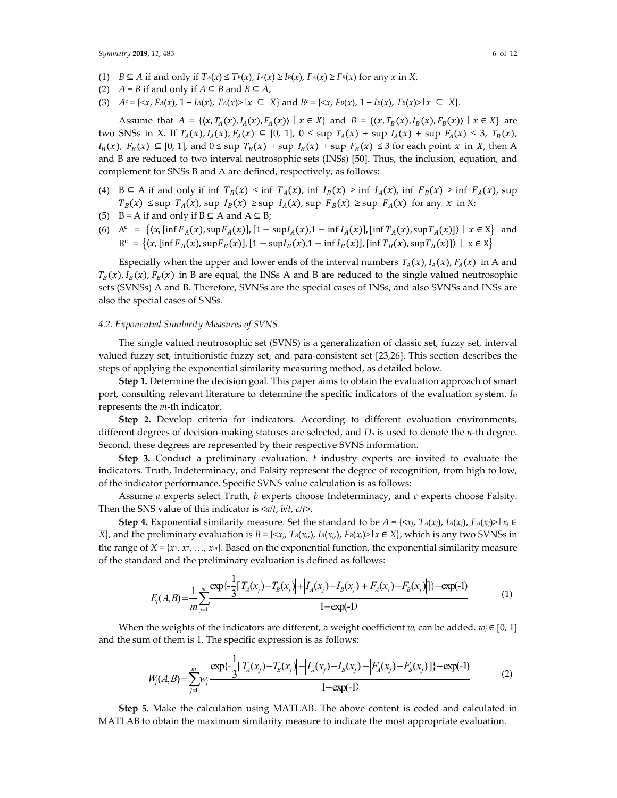- (1) *B* ⊆ *A* if and only if *TA*(*x*) ≤ *TB*(*x*), *IA*(*x*) ≥ *IB*(*x*), *FA*(*x*) ≥ *FB*(*x*) for any *x* in *X*,
- (2)  $A = B$  if and only if  $A ⊆ B$  and  $B ⊆ A$ ,
- (3)  $A^c = \{ \langle x, F_A(x), 1 I_A(x), T_A(x) \rangle | x \in X \}$  and  $B^c = \{ \langle x, F_B(x), 1 I_B(x), T_B(x) \rangle | x \in X \}.$

Assume that  $A = \{(x, T_A(x), I_A(x), F_A(x)) \mid x \in X\}$  and  $B = \{(x, T_B(x), I_B(x), F_B(x)) \mid x \in X\}$  are two SNSs in X. If  $T_A(x)$ ,  $I_A(x)$ ,  $F_A(x) \subseteq [0, 1]$ ,  $0 \le \sup T_A(x) + \sup I_A(x) + \sup F_A(x) \le 3$ ,  $T_B(x)$ ,  $I_B(x)$ ,  $F_B(x) \subseteq [0, 1]$ , and  $0 \le \sup T_B(x) + \sup I_B(x) + \sup F_B(x) \le 3$  for each point x in X, then A and B are reduced to two interval neutrosophic sets (INSs) [50]. Thus, the inclusion, equation, and complement for SNSs B and A are defined, respectively, as follows:

- (4) B  $\subseteq$  A if and only if inf  $T_B(x) \leq \inf T_A(x)$ , inf  $I_B(x) \geq \inf I_A(x)$ , inf  $F_B(x) \geq \inf F_A(x)$ , sup  $T_B(x) \leq \sup T_A(x)$ , sup  $I_B(x) \geq \sup I_A(x)$ , sup  $F_B(x) \geq \sup F_A(x)$  for any x in X;
- (5) B = A if and only if  $B \subseteq A$  and  $A \subseteq B$ ;
- (6) A = 〈,[inf (), sup()],[1 − sup(),1 − inf ()],[inf (), sup()]〉丨 ∈ X and  $B^c = \{ (x, [\inf F_B(x), \sup F_B(x)], [1 - \sup F_B(x),1 - \inf F_B(x)], [\inf T_B(x), \sup T_B(x)] \} \mid x \in X \}$

Especially when the upper and lower ends of the interval numbers  $T_A(x)$ ,  $I_A(x)$ ,  $F_A(x)$  in A and  $T_B(x)$ ,  $I_B(x)$ ,  $F_B(x)$  in B are equal, the INSs A and B are reduced to the single valued neutrosophic sets (SVNSs) A and B. Therefore, SVNSs are the special cases of INSs, and also SVNSs and INSs are also the special cases of SNSs.

#### *4.2. Exponential Similarity Measures of SVNS*

The single valued neutrosophic set (SVNS) is a generalization of classic set, fuzzy set, interval valued fuzzy set, intuitionistic fuzzy set, and para-consistent set [23,26]. This section describes the steps of applying the exponential similarity measuring method, as detailed below.

**Step 1.** Determine the decision goal. This paper aims to obtain the evaluation approach of smart port, consulting relevant literature to determine the specific indicators of the evaluation system. *Im* represents the *m*-th indicator.

**Step 2.** Develop criteria for indicators. According to different evaluation environments, different degrees of decision-making statuses are selected, and *Dn* is used to denote the *n*-th degree. Second, these degrees are represented by their respective SVNS information.

**Step 3.** Conduct a preliminary evaluation. *t* industry experts are invited to evaluate the indicators. Truth, Indeterminacy, and Falsity represent the degree of recognition, from high to low, of the indicator performance. Specific SVNS value calculation is as follows:

Assume *a* experts select Truth, *b* experts choose Indeterminacy, and *c* experts choose Falsity. Then the SNS value of this indicator is <*a/t*, *b/t*, *c/t*>.

**Step 4.** Exponential similarity measure. Set the standard to be  $A = \{ \langle x_j, T_A(x_j), I_A(x_j) \rangle, F_A(x_j) \rangle \}$ *X*}, and the preliminary evaluation is *B* = { $\langle x_i, T_B(x_i), I_B(x_i) \rangle$ ,  $F_B(x_j) > | x \in X$ }, which is any two SVNSs in the range of  $X = \{x_1, x_2, ..., x_m\}$ . Based on the exponential function, the exponential similarity measure of the standard and the preliminary evaluation is defined as follows:

$$
E_i(A,B) = \frac{1}{m} \sum_{j=1}^{m} \frac{\exp\{-\frac{1}{3}[\Big|T_A(x_j) - T_B(x_j)\Big| + \Big|I_A(x_j) - I_B(x_j)\Big| + \Big|F_A(x_j) - F_B(x_j)\Big|\}\} - \exp(-1)
$$
\n<sup>(1)</sup>

When the weights of the indicators are different, a weight coefficient *w<sub>j</sub>* can be added. *w<sub>j</sub>* ∈ [0, 1] and the sum of them is 1. The specific expression is as follows:

$$
W_i(A,B) = \sum_{j=1}^m w_j \frac{\exp\{-\frac{1}{3}[\left|T_A(x_j) - T_B(x_j)\right| + \left|I_A(x_j) - I_B(x_j)\right| + \left|F_A(x_j) - F_B(x_j)\right|\}] \} - \exp(-1)
$$
(2)

**Step 5.** Make the calculation using MATLAB. The above content is coded and calculated in MATLAB to obtain the maximum similarity measure to indicate the most appropriate evaluation.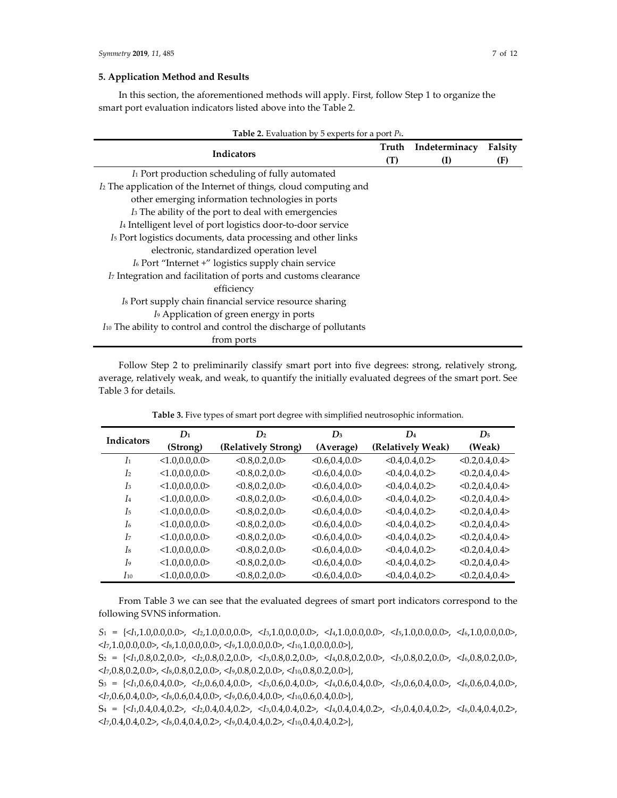# **5. Application Method and Results**

In this section, the aforementioned methods will apply. First, follow Step 1 to organize the smart port evaluation indicators listed above into the Table 2.

| Indicators                                                                     | (T) | Truth Indeterminacy<br>(I) | Falsity<br>(F) |
|--------------------------------------------------------------------------------|-----|----------------------------|----------------|
| I Port production scheduling of fully automated                                |     |                            |                |
| I <sub>2</sub> The application of the Internet of things, cloud computing and  |     |                            |                |
| other emerging information technologies in ports                               |     |                            |                |
| I <sub>3</sub> The ability of the port to deal with emergencies                |     |                            |                |
| I <sub>4</sub> Intelligent level of port logistics door-to-door service        |     |                            |                |
| I <sub>5</sub> Port logistics documents, data processing and other links       |     |                            |                |
| electronic, standardized operation level                                       |     |                            |                |
| I <sub>6</sub> Port "Internet +" logistics supply chain service                |     |                            |                |
| I <sub>7</sub> Integration and facilitation of ports and customs clearance     |     |                            |                |
| efficiency                                                                     |     |                            |                |
| Is Port supply chain financial service resource sharing                        |     |                            |                |
| I <sub>9</sub> Application of green energy in ports                            |     |                            |                |
| I <sup>10</sup> The ability to control and control the discharge of pollutants |     |                            |                |
| from ports                                                                     |     |                            |                |

Follow Step 2 to preliminarily classify smart port into five degrees: strong, relatively strong, average, relatively weak, and weak, to quantify the initially evaluated degrees of the smart port. See Table 3 for details.

| $D_1$<br><b>Indicators</b> |                 | D <sub>2</sub>      | $D_3$           | $\mathbf{D}_4$    | $D_5$             |
|----------------------------|-----------------|---------------------|-----------------|-------------------|-------------------|
|                            | (Strong)        | (Relatively Strong) | (Average)       | (Relatively Weak) | (Weak)            |
| I <sub>1</sub>             | <1.0, 0.0, 0.0> | <0.8, 0.2, 0.0>     | <0.6, 0.4, 0.0> | < 0.4, 0.4, 0.2   | < 0.2, 0.4, 0.4 > |
| I <sub>2</sub>             | <1.0, 0.0, 0.0> | < 0.8, 0.2, 0.0     | <0.6, 0.4, 0.0> | < 0.4, 0.4, 0.2   | < 0.2, 0.4, 0.4 > |
| $I_3$                      | <1.0,0.0,0.0>   | <0.8, 0.2, 0.0>     | <0.6, 0.4, 0.0> | < 0.4, 0.4, 0.2   | < 0.2, 0.4, 0.4 > |
| I <sub>4</sub>             | <1.0,0.0,0.0>   | < 0.8, 0.2, 0.0     | <0.6, 0.4, 0.0> | < 0.4, 0.4, 0.2   | < 0.2, 0.4, 0.4 > |
| I <sub>5</sub>             | <1.0, 0.0, 0.0> | < 0.8, 0.2, 0.0     | <0.6, 0.4, 0.0> | < 0.4, 0.4, 0.2   | < 0.2, 0.4, 0.4 > |
| I6                         | <1.0, 0.0, 0.0> | < 0.8, 0.2, 0.0     | <0.6, 0.4, 0.0> | < 0.4, 0.4, 0.2   | < 0.2, 0.4, 0.4 > |
| I <sub>7</sub>             | <1.0,0.0,0.0>   | < 0.8, 0.2, 0.0     | <0.6, 0.4, 0.0> | < 0.4, 0.4, 0.2   | < 0.2, 0.4, 0.4 > |
| I <sub>8</sub>             | <1.0, 0.0, 0.0> | < 0.8, 0.2, 0.0     | <0.6, 0.4, 0.0> | < 0.4, 0.4, 0.2   | < 0.2, 0.4, 0.4 > |
| I <sub>9</sub>             | <1.0, 0.0, 0.0  | < 0.8, 0.2, 0.0     | <0.6, 0.4, 0.0> | < 0.4, 0.4, 0.2   | < 0.2, 0.4, 0.4 > |
| $I_{10}$                   | <1.0, 0.0, 0.0> | < 0.8, 0.2, 0.0     | <0.6, 0.4, 0.0> | < 0.4, 0.4, 0.2   | < 0.2, 0.4, 0.4 > |

**Table 3.** Five types of smart port degree with simplified neutrosophic information.

From Table 3 we can see that the evaluated degrees of smart port indicators correspond to the following SVNS information.

*S*<sup>1</sup> = {<*I*1,1.0,0.0,0.0>, <*I*2,1.0,0.0,0.0>, <*I*3,1.0,0.0,0.0>, <*I*4,1.0,0.0,0.0>, <*I*5,1.0,0.0,0.0>, <*I*6,1.0,0.0,0.0>, <*I*7,1.0,0.0,0.0>, <*I*8,1.0,0.0,0.0>, <*I*9,1.0,0.0,0.0>, <*I*10,1.0,0.0,0.0>},

S2 = {<*I*1,0.8,0.2,0.0>, <*I*2,0.8,0.2,0.0>, <*I*3,0.8,0.2,0.0>, <*I*4,0.8,0.2,0.0>, <*I*5,0.8,0.2,0.0>, <*I*6,0.8,0.2,0.0>, <*I*7,0.8,0.2,0.0>, <*I*8,0.8,0.2,0.0>, <*I*9,0.8,0.2,0.0>, <*I*10,0.8,0.2,0.0>},

S3 = {<*I*1,0.6,0.4,0.0>, <*I*2,0.6,0.4,0.0>, <*I*3,0.6,0.4,0.0>, <*I*4,0.6,0.4,0.0>, <*I*5,0.6,0.4,0.0>, <*I*6,0.6,0.4,0.0>, <*I*7,0.6,0.4,0.0>, <*I*8,0.6,0.4,0.0>, <*I*9,0.6,0.4,0.0>, <*I*10,0.6,0.4,0.0>},

S4 = {<*I*1,0.4,0.4,0.2>, <*I*2,0.4,0.4,0.2>, <*I*3,0.4,0.4,0.2>, <*I*4,0.4,0.4,0.2>, <*I*5,0.4,0.4,0.2>, <*I*6,0.4,0.4,0.2>, <*I*7,0.4,0.4,0.2>, <*I*8,0.4,0.4,0.2>, <*I*9,0.4,0.4,0.2>, <*I*10,0.4,0.4,0.2>},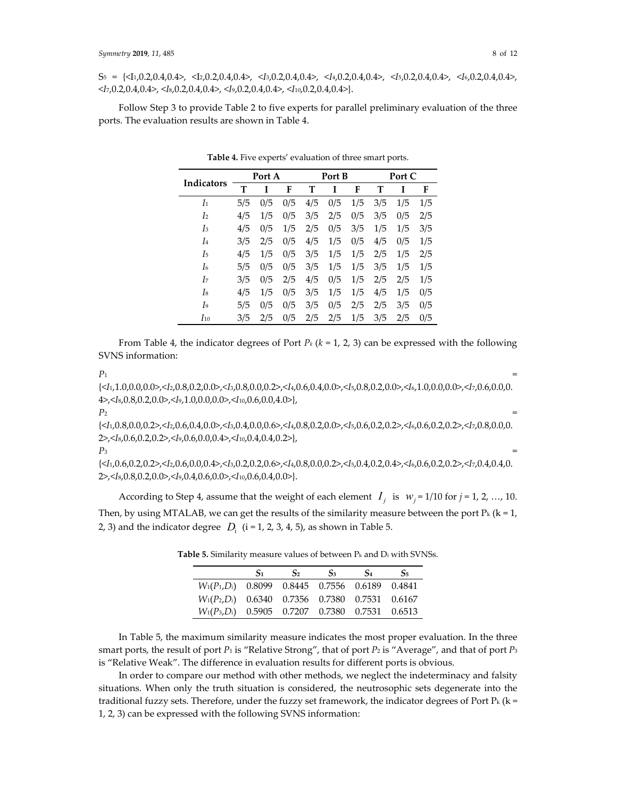S5 = {<I1,0.2,0.4,0.4>, <I2,0.2,0.4,0.4>, <*I*3,0.2,0.4,0.4>, <*I*4,0.2,0.4,0.4>, <*I*5,0.2,0.4,0.4>, <*I*6,0.2,0.4,0.4>, <*I*7,0.2,0.4,0.4>, <*I*8,0.2,0.4,0.4>, <*I*9,0.2,0.4,0.4>, <*I*10,0.2,0.4,0.4>}.

Follow Step 3 to provide Table 2 to five experts for parallel preliminary evaluation of the three ports. The evaluation results are shown in Table 4.

| Indicators     | Port A |     | Port B |     |     | Port C |     |     |     |
|----------------|--------|-----|--------|-----|-----|--------|-----|-----|-----|
|                | T      | T   | F      | т   | T   | F      | т   | Ī   | F   |
| I <sub>1</sub> | 5/5    | 0/5 | 0/5    | 4/5 | 0/5 | 1/5    | 3/5 | 1/5 | 1/5 |
| I <sub>2</sub> | 4/5    | 1/5 | 0/5    | 3/5 | 2/5 | 0/5    | 3/5 | 0/5 | 2/5 |
| Iз             | 4/5    | 0/5 | 1/5    | 2/5 | 0/5 | 3/5    | 1/5 | 1/5 | 3/5 |
| I <sub>4</sub> | 3/5    | 2/5 | 0/5    | 4/5 | 1/5 | 0/5    | 4/5 | 0/5 | 1/5 |
| I5             | 4/5    | 1/5 | 0/5    | 3/5 | 1/5 | 1/5    | 2/5 | 1/5 | 2/5 |
| I6             | 5/5    | 0/5 | 0/5    | 3/5 | 1/5 | 1/5    | 3/5 | 1/5 | 1/5 |
| I7             | 3/5    | 0/5 | 2/5    | 4/5 | 0/5 | 1/5    | 2/5 | 2/5 | 1/5 |
| I8             | 4/5    | 1/5 | 0/5    | 3/5 | 1/5 | 1/5    | 4/5 | 1/5 | 0/5 |
| I9             | 5/5    | 0/5 | 0/5    | 3/5 | 0/5 | 2/5    | 2/5 | 3/5 | 0/5 |
| $I_{10}$       | 3/5    | 2/5 | 0/5    | 2/5 | 2/5 | 1/5    | 3/5 | 2/5 | 0/5 |

**Table 4.** Five experts' evaluation of three smart ports.

From Table 4, the indicator degrees of Port *Pk* (*k* = 1, 2, 3) can be expressed with the following SVNS information:

 $P_1$  =

{<*I*1,1.0,0.0,0.0>,<*I*2,0.8,0.2,0.0>,<*I*3,0.8,0.0,0.2>,<*I*4,0.6,0.4,0.0>,<*I*5,0.8,0.2,0.0>,<*I*6,1.0,0.0,0.0>,<*I*7,0.6,0.0,0. 4>,<*I*8,0.8,0.2,0.0>,<*I*9,1.0,0.0,0.0>,<*I*10,0.6,0.0,4.0>},

 $P_2$  =

{<*I*1,0.8,0.0,0.2>,<*I*2,0.6,0.4,0.0>,<*I*3,0.4,0.0,0.6>,<*I*4,0.8,0.2,0.0>,<*I*5,0.6,0.2,0.2>,<*I*6,0.6,0.2,0.2>,<*I*7,0.8,0.0,0. 2>,<*I*8,0.6,0.2,0.2>,<*I*9,0.6,0.0,0.4>,<*I*10,0.4,0.4,0.2>},

 $P_3$  =

{<*I*1,0.6,0.2,0.2>,<*I*2,0.6,0.0,0.4>,<*I*3,0.2,0.2,0.6>,<*I*4,0.8,0.0,0.2>,<*I*5,0.4,0.2,0.4>,<*I*6,0.6,0.2,0.2>,<*I*7,0.4,0.4,0. 2>,<*I*8,0.8,0.2,0.0>,<*I*9,0.4,0.6,0.0>,<*I*10,0.6,0.4,0.0>}.

According to Step 4, assume that the weight of each element  $I_i$  is  $W_i = 1/10$  for  $j = 1, 2, ..., 10$ . Then, by using MTALAB, we can get the results of the similarity measure between the port  $P_k$  ( $k = 1$ , 2, 3) and the indicator degree  $D_i$  (i = 1, 2, 3, 4, 5), as shown in Table 5.

|                                                    | $S_1$ | S <sub>2</sub> | $S_3$ | $S_4$ | $S_5$ |
|----------------------------------------------------|-------|----------------|-------|-------|-------|
| $W_1(P_1, D_i)$ 0.8099 0.8445 0.7556 0.6189 0.4841 |       |                |       |       |       |
| $W_1(P_2, D_i)$ 0.6340 0.7356 0.7380 0.7531 0.6167 |       |                |       |       |       |
| $W_1(P_3, D_i)$ 0.5905 0.7207 0.7380 0.7531 0.6513 |       |                |       |       |       |

**Table 5.** Similarity measure values of between Pk and Di with SVNSs.

In Table 5, the maximum similarity measure indicates the most proper evaluation. In the three smart ports, the result of port *P*<sup>1</sup> is "Relative Strong", that of port *P*<sup>2</sup> is "Average", and that of port *P*<sup>3</sup> is "Relative Weak". The difference in evaluation results for different ports is obvious.

In order to compare our method with other methods, we neglect the indeterminacy and falsity situations. When only the truth situation is considered, the neutrosophic sets degenerate into the traditional fuzzy sets. Therefore, under the fuzzy set framework, the indicator degrees of Port  $\Pr(k = 1, 2, \ldots, n)$ 1, 2, 3) can be expressed with the following SVNS information: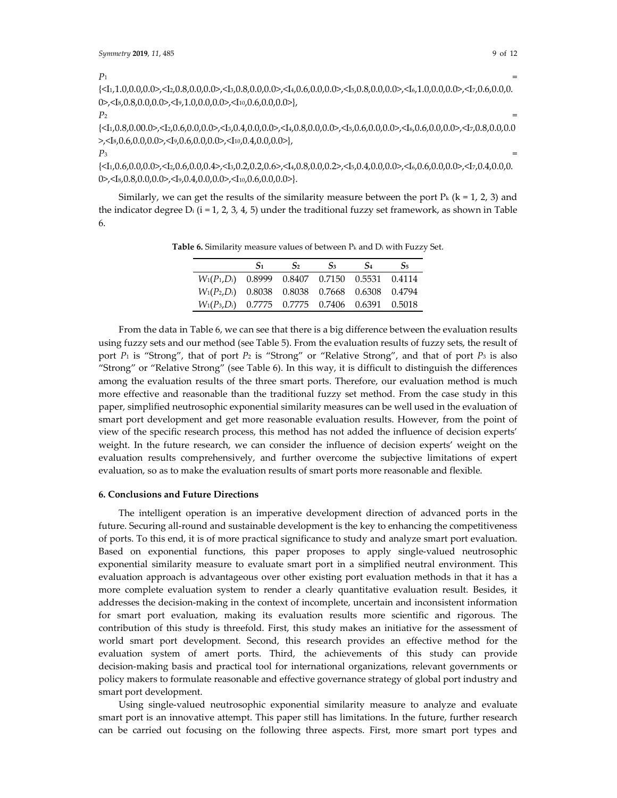| $P_1$                                                                                                                         |  |
|-------------------------------------------------------------------------------------------------------------------------------|--|
|                                                                                                                               |  |
| $0$ , $\langle I_8, 0.8, 0.0, 0.0 \rangle$ , $\langle I_9, 1.0, 0.0, 0.0 \rangle$ , $\langle I_{10}, 0.6, 0.0, 0.0 \rangle$ , |  |

 $P_2$  =

 $\{\langle 1,0.8,0.00.0\rangle,\langle 1,0.6,0.0,0.0\rangle,\langle 1,0.4,0.0,0.0\rangle,\langle 1,0.8,0.0,0.0\rangle,\langle 1,0.6,0.0,0.0\rangle,\langle 1,0.6,0.0,0.0\rangle,\langle 1,0.8,0.0,0.0\rangle,\langle 1,0.8,0.0,0.0\rangle,\langle 1,0.8,0.0,0.0\rangle,\langle 1,0.8,0.0,0.0\rangle,\langle 1,0.8,0.0,0.0\rangle,\langle 1,0.8,0.0,0.0\rangle,\langle 1$ >,<I<sub>8</sub>,0.6,0.0,0.0>,<I<sub>9</sub>,0.6,0.0,0.0>,<I<sub>10</sub>,0.4,0.0,0.0>}

 $P_3$  =

{<I1,0.6,0.0,0.0>,<I2,0.6,0.0,0.4>,<I3,0.2,0.2,0.6>,<I4,0.8,0.0,0.2>,<I5,0.4,0.0,0.0>,<I6,0.6,0.0,0.0>,<I7,0.4,0.0,0. 0>,<Is,0.8,0.0,0.0>,<I9,0.4,0.0,0.0>,<I10,0.6,0.0,0.0>}.

Similarly, we can get the results of the similarity measure between the port  $P_k$  ( $k = 1, 2, 3$ ) and the indicator degree  $D_i$  (i = 1, 2, 3, 4, 5) under the traditional fuzzy set framework, as shown in Table 6.

**Table 6.** Similarity measure values of between Pk and Di with Fuzzy Set.

|                                                    | $S_1$ | $S_2$ | S <sub>3</sub> | S <sub>4</sub> | $S_5$ |
|----------------------------------------------------|-------|-------|----------------|----------------|-------|
| $W_1(P_1, D_i)$ 0.8999 0.8407 0.7150 0.5531 0.4114 |       |       |                |                |       |
| $W_1(P_2, D_i)$ 0.8038 0.8038 0.7668 0.6308 0.4794 |       |       |                |                |       |
| $W_1(P_3, D_i)$ 0.7775 0.7775 0.7406 0.6391 0.5018 |       |       |                |                |       |
|                                                    |       |       |                |                |       |

From the data in Table 6, we can see that there is a big difference between the evaluation results using fuzzy sets and our method (see Table 5). From the evaluation results of fuzzy sets, the result of port *P*<sup>1</sup> is "Strong", that of port *P*<sup>2</sup> is "Strong" or "Relative Strong", and that of port *P*<sup>3</sup> is also "Strong" or "Relative Strong" (see Table 6). In this way, it is difficult to distinguish the differences among the evaluation results of the three smart ports. Therefore, our evaluation method is much more effective and reasonable than the traditional fuzzy set method. From the case study in this paper, simplified neutrosophic exponential similarity measures can be well used in the evaluation of smart port development and get more reasonable evaluation results. However, from the point of view of the specific research process, this method has not added the influence of decision experts' weight. In the future research, we can consider the influence of decision experts' weight on the evaluation results comprehensively, and further overcome the subjective limitations of expert evaluation, so as to make the evaluation results of smart ports more reasonable and flexible.

# **6. Conclusions and Future Directions**

The intelligent operation is an imperative development direction of advanced ports in the future. Securing all-round and sustainable development is the key to enhancing the competitiveness of ports. To this end, it is of more practical significance to study and analyze smart port evaluation. Based on exponential functions, this paper proposes to apply single-valued neutrosophic exponential similarity measure to evaluate smart port in a simplified neutral environment. This evaluation approach is advantageous over other existing port evaluation methods in that it has a more complete evaluation system to render a clearly quantitative evaluation result. Besides, it addresses the decision-making in the context of incomplete, uncertain and inconsistent information for smart port evaluation, making its evaluation results more scientific and rigorous. The contribution of this study is threefold. First, this study makes an initiative for the assessment of world smart port development. Second, this research provides an effective method for the evaluation system of amert ports. Third, the achievements of this study can provide decision-making basis and practical tool for international organizations, relevant governments or policy makers to formulate reasonable and effective governance strategy of global port industry and smart port development.

Using single-valued neutrosophic exponential similarity measure to analyze and evaluate smart port is an innovative attempt. This paper still has limitations. In the future, further research can be carried out focusing on the following three aspects. First, more smart port types and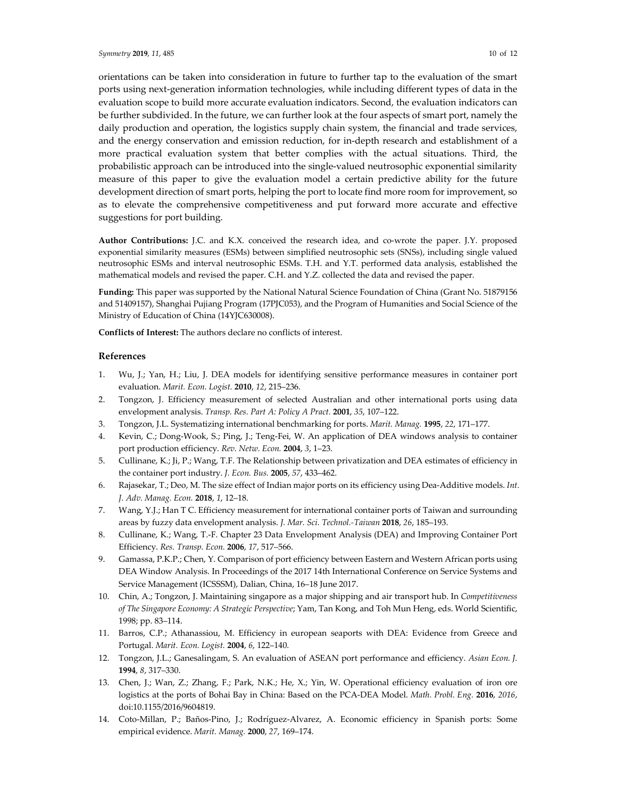orientations can be taken into consideration in future to further tap to the evaluation of the smart ports using next-generation information technologies, while including different types of data in the evaluation scope to build more accurate evaluation indicators. Second, the evaluation indicators can be further subdivided. In the future, we can further look at the four aspects of smart port, namely the daily production and operation, the logistics supply chain system, the financial and trade services, and the energy conservation and emission reduction, for in-depth research and establishment of a more practical evaluation system that better complies with the actual situations. Third, the probabilistic approach can be introduced into the single-valued neutrosophic exponential similarity measure of this paper to give the evaluation model a certain predictive ability for the future development direction of smart ports, helping the port to locate find more room for improvement, so as to elevate the comprehensive competitiveness and put forward more accurate and effective suggestions for port building.

**Author Contributions:** J.C. and K.X. conceived the research idea, and co-wrote the paper. J.Y. proposed exponential similarity measures (ESMs) between simplified neutrosophic sets (SNSs), including single valued neutrosophic ESMs and interval neutrosophic ESMs. T.H. and Y.T. performed data analysis, established the mathematical models and revised the paper. C.H. and Y.Z. collected the data and revised the paper.

**Funding:** This paper was supported by the National Natural Science Foundation of China (Grant No. 51879156 and 51409157), Shanghai Pujiang Program (17PJC053), and the Program of Humanities and Social Science of the Ministry of Education of China (14YJC630008).

**Conflicts of Interest:** The authors declare no conflicts of interest.

## **References**

- 1. Wu, J.; Yan, H.; Liu, J. DEA models for identifying sensitive performance measures in container port evaluation. *Marit. Econ. Logist.* **2010**, *12*, 215–236.
- 2. Tongzon, J. Efficiency measurement of selected Australian and other international ports using data envelopment analysis. *Transp. Res. Part A: Policy A Pract.* **2001**, *35*, 107–122.
- 3. Tongzon, J.L. Systematizing international benchmarking for ports. *Marit. Manag.* **1995**, *22*, 171–177.
- 4. Kevin, C.; Dong-Wook, S.; Ping, J.; Teng-Fei, W. An application of DEA windows analysis to container port production efficiency. *Rev. Netw. Econ.* **2004**, *3*, 1–23.
- 5. Cullinane, K.; Ji, P.; Wang, T.F. The Relationship between privatization and DEA estimates of efficiency in the container port industry. *J. Econ. Bus.* **2005**, *57*, 433–462.
- 6. Rajasekar, T.; Deo, M. The size effect of Indian major ports on its efficiency using Dea-Additive models. *Int. J. Adv. Manag. Econ.* **2018**, *1*, 12–18.
- 7. Wang, Y.J.; Han T C. Efficiency measurement for international container ports of Taiwan and surrounding areas by fuzzy data envelopment analysis. *J. Mar. Sci. Technol.-Taiwan* **2018**, *26*, 185–193.
- 8. Cullinane, K.; Wang, T.-F. Chapter 23 Data Envelopment Analysis (DEA) and Improving Container Port Efficiency. *Res. Transp. Econ.* **2006**, *17*, 517–566.
- 9. Gamassa, P.K.P.; Chen, Y. Comparison of port efficiency between Eastern and Western African ports using DEA Window Analysis. In Proceedings of the 2017 14th International Conference on Service Systems and Service Management (ICSSSM), Dalian, China, 16–18 June 2017.
- 10. Chin, A.; Tongzon, J. Maintaining singapore as a major shipping and air transport hub. In *Competitiveness of The Singapore Economy: A Strategic Perspective*; Yam, Tan Kong, and Toh Mun Heng, eds. World Scientific, 1998; pp. 83–114.
- 11. Barros, C.P.; Athanassiou, M. Efficiency in european seaports with DEA: Evidence from Greece and Portugal. *Marit. Econ. Logist.* **2004**, *6*, 122–140.
- 12. Tongzon, J.L.; Ganesalingam, S. An evaluation of ASEAN port performance and efficiency. *Asian Econ. J.*  **1994**, *8*, 317–330.
- 13. Chen, J.; Wan, Z.; Zhang, F.; Park, N.K.; He, X.; Yin, W. Operational efficiency evaluation of iron ore logistics at the ports of Bohai Bay in China: Based on the PCA-DEA Model. *Math. Probl. Eng.* **2016**, *2016*, doi:10.1155/2016/9604819.
- 14. Coto-Millan, P.; Baños-Pino, J.; Rodríguez-Alvarez, A. Economic efficiency in Spanish ports: Some empirical evidence. *Marit. Manag.* **2000**, *27*, 169–174.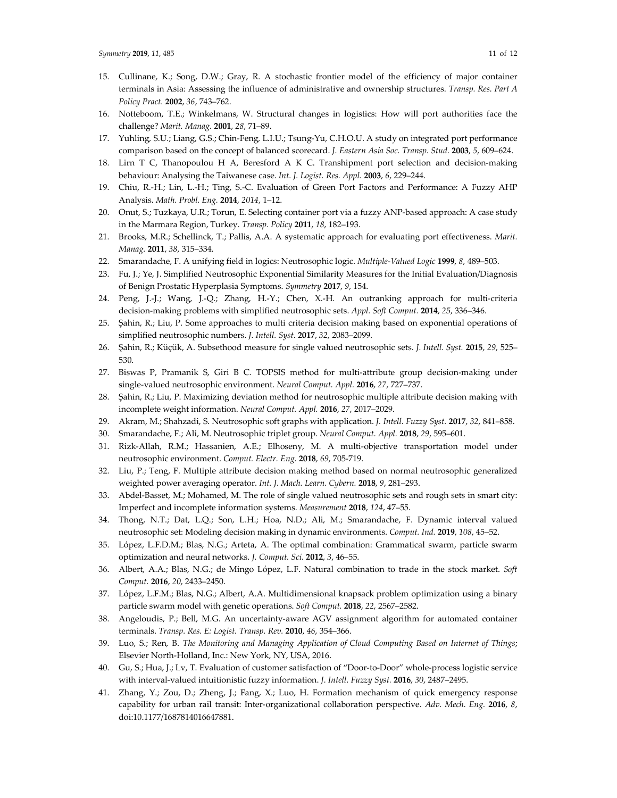- 15. Cullinane, K.; Song, D.W.; Gray, R. A stochastic frontier model of the efficiency of major container terminals in Asia: Assessing the influence of administrative and ownership structures. *Transp. Res. Part A Policy Pract.* **2002**, *36*, 743–762.
- 16. Notteboom, T.E.; Winkelmans, W. Structural changes in logistics: How will port authorities face the challenge? *Marit. Manag.* **2001**, *28*, 71–89.
- 17. Yuhling, S.U.; Liang, G.S.; Chin-Feng, L.I.U.; Tsung-Yu, C.H.O.U. A study on integrated port performance comparison based on the concept of balanced scorecard. *J. Eastern Asia Soc. Transp. Stud.* **2003**, *5*, 609–624.
- 18. Lirn T C, Thanopoulou H A, Beresford A K C. Transhipment port selection and decision-making behaviour: Analysing the Taiwanese case. *Int. J. Logist. Res. Appl.* **2003**, *6*, 229–244.
- 19. Chiu, R.-H.; Lin, L.-H.; Ting, S.-C. Evaluation of Green Port Factors and Performance: A Fuzzy AHP Analysis. *Math. Probl. Eng.* **2014**, *2014*, 1–12.
- 20. Onut, S.; Tuzkaya, U.R.; Torun, E. Selecting container port via a fuzzy ANP-based approach: A case study in the Marmara Region, Turkey. *Transp. Policy* **2011**, *18*, 182–193.
- 21. Brooks, M.R.; Schellinck, T.; Pallis, A.A. A systematic approach for evaluating port effectiveness. *Marit. Manag.* **2011**, *38*, 315–334.
- 22. Smarandache, F. A unifying field in logics: Neutrosophic logic. *Multiple-Valued Logic* **1999**, *8*, 489–503.
- 23. Fu, J.; Ye, J. Simplified Neutrosophic Exponential Similarity Measures for the Initial Evaluation/Diagnosis of Benign Prostatic Hyperplasia Symptoms. *Symmetry* **2017**, *9*, 154.
- 24. Peng, J.-J.; Wang, J.-Q.; Zhang, H.-Y.; Chen, X.-H. An outranking approach for multi-criteria decision-making problems with simplified neutrosophic sets. *Appl. Soft Comput.* **2014**, *25*, 336–346.
- 25. Şahin, R.; Liu, P. Some approaches to multi criteria decision making based on exponential operations of simplified neutrosophic numbers. *J. Intell. Syst.* **2017**, *32*, 2083–2099.
- 26. Şahin, R.; Küçük, A. Subsethood measure for single valued neutrosophic sets. *J. Intell. Syst.* **2015**, *29*, 525– 530.
- 27. Biswas P, Pramanik S, Giri B C. TOPSIS method for multi-attribute group decision-making under single-valued neutrosophic environment. *Neural Comput. Appl.* **2016**, *27*, 727–737.
- 28. Şahin, R.; Liu, P. Maximizing deviation method for neutrosophic multiple attribute decision making with incomplete weight information. *Neural Comput. Appl.* **2016**, *27*, 2017–2029.
- 29. Akram, M.; Shahzadi, S. Neutrosophic soft graphs with application. *J. Intell. Fuzzy Syst.* **2017**, *32*, 841–858.
- 30. Smarandache, F.; Ali, M. Neutrosophic triplet group. *Neural Comput. Appl.* **2018**, *29*, 595–601.
- 31. Rizk-Allah, R.M.; Hassanien, A.E.; Elhoseny, M. A multi-objective transportation model under neutrosophic environment. *Comput. Electr. Eng.* **2018**, *69*, 705-719.
- 32. Liu, P.; Teng, F. Multiple attribute decision making method based on normal neutrosophic generalized weighted power averaging operator. *Int. J. Mach. Learn. Cybern.* **2018**, *9*, 281–293.
- 33. Abdel-Basset, M.; Mohamed, M. The role of single valued neutrosophic sets and rough sets in smart city: Imperfect and incomplete information systems. *Measurement* **2018**, *124*, 47–55.
- 34. Thong, N.T.; Dat, L.Q.; Son, L.H.; Hoa, N.D.; Ali, M.; Smarandache, F. Dynamic interval valued neutrosophic set: Modeling decision making in dynamic environments. *Comput. Ind.* **2019**, *108*, 45–52.
- 35. López, L.F.D.M.; Blas, N.G.; Arteta, A. The optimal combination: Grammatical swarm, particle swarm optimization and neural networks. *J. Comput. Sci.* **2012**, *3*, 46–55.
- 36. Albert, A.A.; Blas, N.G.; de Mingo López, L.F. Natural combination to trade in the stock market. *Soft Comput.* **2016**, *20*, 2433–2450.
- 37. López, L.F.M.; Blas, N.G.; Albert, A.A. Multidimensional knapsack problem optimization using a binary particle swarm model with genetic operations. *Soft Comput.* **2018**, *22*, 2567–2582.
- 38. Angeloudis, P.; Bell, M.G. An uncertainty-aware AGV assignment algorithm for automated container terminals. *Transp. Res. E: Logist. Transp. Rev.* **2010**, *46*, 354–366.
- 39. Luo, S.; Ren, B. *The Monitoring and Managing Application of Cloud Computing Based on Internet of Things*; Elsevier North-Holland, Inc.: New York, NY, USA, 2016.
- 40. Gu, S.; Hua, J.; Lv, T. Evaluation of customer satisfaction of "Door-to-Door" whole-process logistic service with interval-valued intuitionistic fuzzy information. *J. Intell. Fuzzy Syst.* **2016**, *30*, 2487–2495.
- 41. Zhang, Y.; Zou, D.; Zheng, J.; Fang, X.; Luo, H. Formation mechanism of quick emergency response capability for urban rail transit: Inter-organizational collaboration perspective. *Adv. Mech. Eng.* **2016**, *8*, doi:10.1177/1687814016647881.